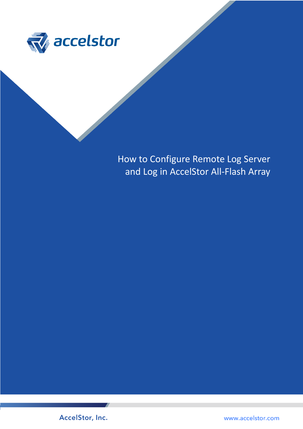

How to Configure Remote Log Server and Log in AccelStor All-Flash Array



www.accelstor.com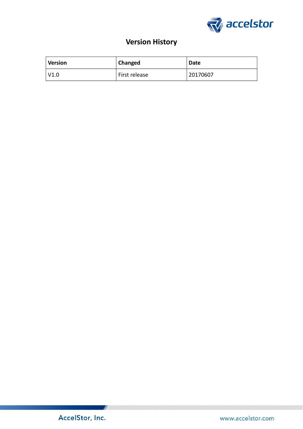

# **Version History**

| <b>Version</b> | Changed       | <b>Date</b> |
|----------------|---------------|-------------|
| V1.0           | First release | 20170607    |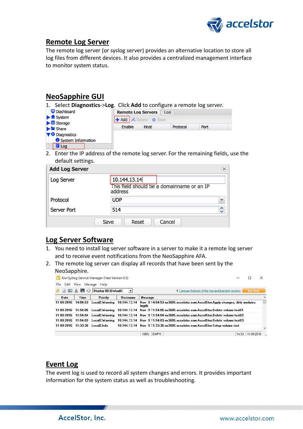

#### **Remote Log Server**

The remote log server (or syslog server) provides an alternative location to store all log files from different devices. It also provides a centralized management interface to monitor system status.

## **NeoSapphire GUI**

| 1. Select Diagnostics->Log. Click Add to configure a remote log server.   |                                  |                                     |          |      |  |  |
|---------------------------------------------------------------------------|----------------------------------|-------------------------------------|----------|------|--|--|
| <b>Dashboard</b>                                                          | <b>Remote Log Servers</b><br>Log |                                     |          |      |  |  |
| $\blacktriangleright$ fill System<br>$\blacktriangleright \equiv$ Storage |                                  | <b>+ Add A</b> Delete <b>O</b> Save |          |      |  |  |
| $\blacktriangleright$ Share                                               | Enable                           | Host                                | Protocol | Port |  |  |
| Diagnostics                                                               |                                  |                                     |          |      |  |  |
| System Information<br>$E$ Log                                             |                                  |                                     |          |      |  |  |

2. Enter the IP address of the remote log server. For the remaining fields, use the default settings.

| Log Server  | 10.144.13.14                                          |               |
|-------------|-------------------------------------------------------|---------------|
|             | This field should be a domainname or an IP<br>address |               |
| Protocol    | <b>UDP</b>                                            | $\checkmark$  |
| Server Port | 514                                                   | $\hat{\cdot}$ |

### **Log Server Software**

- 1. You need to install log server software in a server to make it a remote log server and to receive event notifications from the NeoSapphire AFA.
- 2. The remote log server can display all records that have been sent by the NeoSapphire.

| Manage Help<br>Edit View<br>File<br>$\bullet$<br>Display 00 (Default)<br>$\blacktriangledown$<br>$\sqrt{10}$<br>A |          |                |                 | > Compare features of the free and licensed versions<br><b>Buy Now</b>                                             |            |  |  |  |
|-------------------------------------------------------------------------------------------------------------------|----------|----------------|-----------------|--------------------------------------------------------------------------------------------------------------------|------------|--|--|--|
| <b>Date</b>                                                                                                       | Time     | Priority       | <b>Hostname</b> | <b>Message</b>                                                                                                     |            |  |  |  |
| 11-09-2016                                                                                                        | 14:04:53 | Local2.Warning | 10.144.13.14    | Nov 9 14:04:53 ns3605 accelstor com AccelStor:Apply changes; dirty modules:<br>logdb                               |            |  |  |  |
| 11-09-2016                                                                                                        | 11:54:05 |                |                 | Local2.Warning 10.144.13.14 Nov 9 11:54:05 ns3605.accelstor.com AccelStor:Delete volume test01                     |            |  |  |  |
|                                                                                                                   |          |                |                 | 11-09-2016 11:54:04 Local2.Warning 10.144.13.14 Nov 9.11:54:04 ns3605.accelstor.com AccelStor:Delete volume test02 |            |  |  |  |
|                                                                                                                   |          |                |                 | 10.144.13.14 Nov 9 11:54:03 ns3605.accelstor.com AccelStor:Delete volume test03                                    |            |  |  |  |
| 11-09-2016 11:33:36 Local2.Info                                                                                   |          |                |                 | 10.144.13.14 Nov 9 11:33:36 ns3605.accelstor.com AccelStor:Setup volume test                                       |            |  |  |  |
|                                                                                                                   |          |                |                 | 0 MPH<br>14:33<br>100%                                                                                             | 11-09-2016 |  |  |  |

### **Event Log**

The event log is used to record all system changes and errors. It provides important information for the system status as well as troubleshooting.